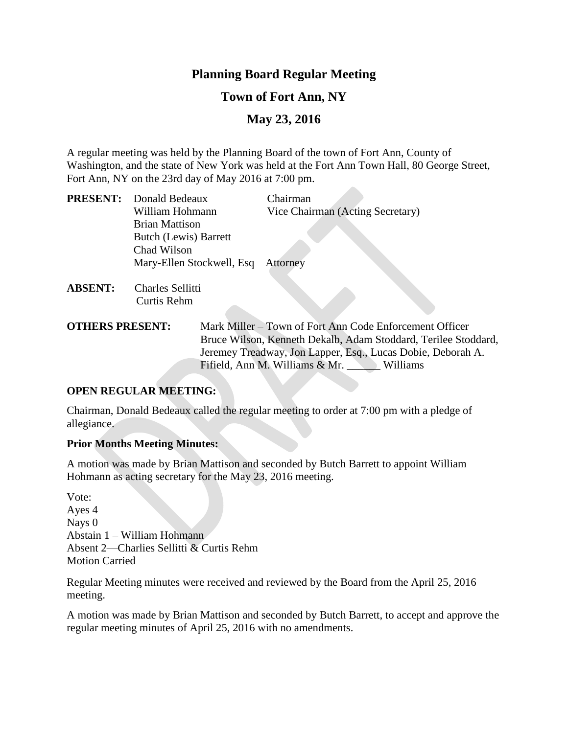# **Planning Board Regular Meeting**

## **Town of Fort Ann, NY**

# **May 23, 2016**

A regular meeting was held by the Planning Board of the town of Fort Ann, County of Washington, and the state of New York was held at the Fort Ann Town Hall, 80 George Street, Fort Ann, NY on the 23rd day of May 2016 at 7:00 pm.

|           | <b>PRESENT:</b> Donald Bedeaux         | Chairman                         |
|-----------|----------------------------------------|----------------------------------|
|           | William Hohmann                        | Vice Chairman (Acting Secretary) |
|           | <b>Brian Mattison</b>                  |                                  |
|           | Butch (Lewis) Barrett                  |                                  |
|           | Chad Wilson                            |                                  |
|           | Mary-Ellen Stockwell, Esq Attorney     |                                  |
| A DOENIT. | $C_{\text{local}} \sim C_{\text{all}}$ |                                  |

**ABSENT:** Charles Sellitti Curtis Rehm

**OTHERS PRESENT:** Mark Miller – Town of Fort Ann Code Enforcement Officer Bruce Wilson, Kenneth Dekalb, Adam Stoddard, Terilee Stoddard, Jeremey Treadway, Jon Lapper, Esq., Lucas Dobie, Deborah A. Fifield, Ann M. Williams & Mr. Williams

## **OPEN REGULAR MEETING:**

Chairman, Donald Bedeaux called the regular meeting to order at 7:00 pm with a pledge of allegiance.

## **Prior Months Meeting Minutes:**

A motion was made by Brian Mattison and seconded by Butch Barrett to appoint William Hohmann as acting secretary for the May 23, 2016 meeting.

Vote: Ayes 4 Nays 0 Abstain 1 – William Hohmann Absent 2—Charlies Sellitti & Curtis Rehm Motion Carried

Regular Meeting minutes were received and reviewed by the Board from the April 25, 2016 meeting.

A motion was made by Brian Mattison and seconded by Butch Barrett, to accept and approve the regular meeting minutes of April 25, 2016 with no amendments.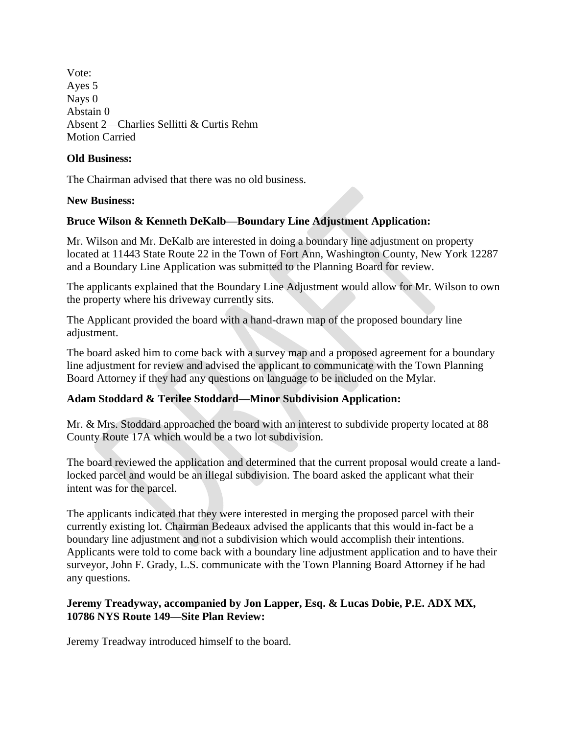Vote: Ayes 5 Nays 0 Abstain 0 Absent 2—Charlies Sellitti & Curtis Rehm Motion Carried

### **Old Business:**

The Chairman advised that there was no old business.

#### **New Business:**

### **Bruce Wilson & Kenneth DeKalb—Boundary Line Adjustment Application:**

Mr. Wilson and Mr. DeKalb are interested in doing a boundary line adjustment on property located at 11443 State Route 22 in the Town of Fort Ann, Washington County, New York 12287 and a Boundary Line Application was submitted to the Planning Board for review.

The applicants explained that the Boundary Line Adjustment would allow for Mr. Wilson to own the property where his driveway currently sits.

The Applicant provided the board with a hand-drawn map of the proposed boundary line adjustment.

The board asked him to come back with a survey map and a proposed agreement for a boundary line adjustment for review and advised the applicant to communicate with the Town Planning Board Attorney if they had any questions on language to be included on the Mylar.

#### **Adam Stoddard & Terilee Stoddard—Minor Subdivision Application:**

Mr. & Mrs. Stoddard approached the board with an interest to subdivide property located at 88 County Route 17A which would be a two lot subdivision.

The board reviewed the application and determined that the current proposal would create a landlocked parcel and would be an illegal subdivision. The board asked the applicant what their intent was for the parcel.

The applicants indicated that they were interested in merging the proposed parcel with their currently existing lot. Chairman Bedeaux advised the applicants that this would in-fact be a boundary line adjustment and not a subdivision which would accomplish their intentions. Applicants were told to come back with a boundary line adjustment application and to have their surveyor, John F. Grady, L.S. communicate with the Town Planning Board Attorney if he had any questions.

### **Jeremy Treadyway, accompanied by Jon Lapper, Esq. & Lucas Dobie, P.E. ADX MX, 10786 NYS Route 149—Site Plan Review:**

Jeremy Treadway introduced himself to the board.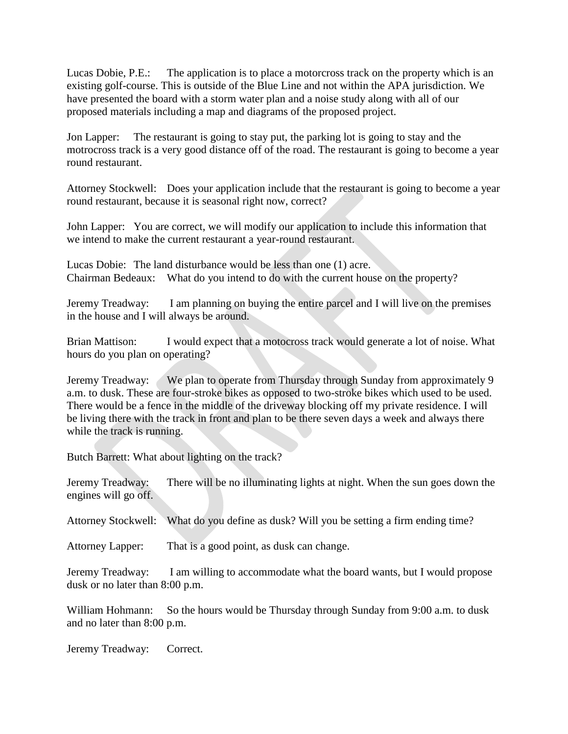Lucas Dobie, P.E.: The application is to place a motorcross track on the property which is an existing golf-course. This is outside of the Blue Line and not within the APA jurisdiction. We have presented the board with a storm water plan and a noise study along with all of our proposed materials including a map and diagrams of the proposed project.

Jon Lapper: The restaurant is going to stay put, the parking lot is going to stay and the motrocross track is a very good distance off of the road. The restaurant is going to become a year round restaurant.

Attorney Stockwell: Does your application include that the restaurant is going to become a year round restaurant, because it is seasonal right now, correct?

John Lapper: You are correct, we will modify our application to include this information that we intend to make the current restaurant a year-round restaurant.

Lucas Dobie: The land disturbance would be less than one (1) acre. Chairman Bedeaux: What do you intend to do with the current house on the property?

Jeremy Treadway: I am planning on buying the entire parcel and I will live on the premises in the house and I will always be around.

Brian Mattison: I would expect that a motocross track would generate a lot of noise. What hours do you plan on operating?

Jeremy Treadway: We plan to operate from Thursday through Sunday from approximately 9 a.m. to dusk. These are four-stroke bikes as opposed to two-stroke bikes which used to be used. There would be a fence in the middle of the driveway blocking off my private residence. I will be living there with the track in front and plan to be there seven days a week and always there while the track is running.

Butch Barrett: What about lighting on the track?

Jeremy Treadway: There will be no illuminating lights at night. When the sun goes down the engines will go off.

Attorney Stockwell: What do you define as dusk? Will you be setting a firm ending time?

Attorney Lapper: That is a good point, as dusk can change.

Jeremy Treadway: I am willing to accommodate what the board wants, but I would propose dusk or no later than 8:00 p.m.

William Hohmann: So the hours would be Thursday through Sunday from 9:00 a.m. to dusk and no later than 8:00 p.m.

Jeremy Treadway: Correct.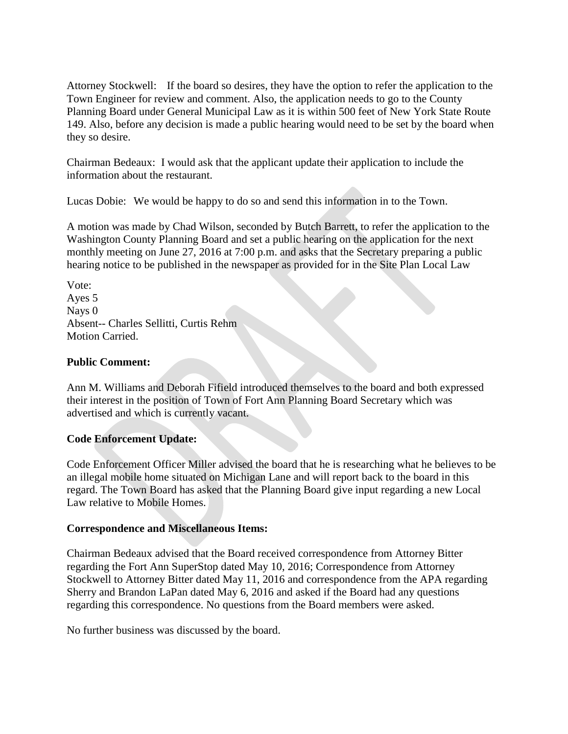Attorney Stockwell: If the board so desires, they have the option to refer the application to the Town Engineer for review and comment. Also, the application needs to go to the County Planning Board under General Municipal Law as it is within 500 feet of New York State Route 149. Also, before any decision is made a public hearing would need to be set by the board when they so desire.

Chairman Bedeaux: I would ask that the applicant update their application to include the information about the restaurant.

Lucas Dobie: We would be happy to do so and send this information in to the Town.

A motion was made by Chad Wilson, seconded by Butch Barrett, to refer the application to the Washington County Planning Board and set a public hearing on the application for the next monthly meeting on June 27, 2016 at 7:00 p.m. and asks that the Secretary preparing a public hearing notice to be published in the newspaper as provided for in the Site Plan Local Law

Vote: Ayes 5 Nays 0 Absent-- Charles Sellitti, Curtis Rehm Motion Carried.

### **Public Comment:**

Ann M. Williams and Deborah Fifield introduced themselves to the board and both expressed their interest in the position of Town of Fort Ann Planning Board Secretary which was advertised and which is currently vacant.

#### **Code Enforcement Update:**

Code Enforcement Officer Miller advised the board that he is researching what he believes to be an illegal mobile home situated on Michigan Lane and will report back to the board in this regard. The Town Board has asked that the Planning Board give input regarding a new Local Law relative to Mobile Homes.

#### **Correspondence and Miscellaneous Items:**

Chairman Bedeaux advised that the Board received correspondence from Attorney Bitter regarding the Fort Ann SuperStop dated May 10, 2016; Correspondence from Attorney Stockwell to Attorney Bitter dated May 11, 2016 and correspondence from the APA regarding Sherry and Brandon LaPan dated May 6, 2016 and asked if the Board had any questions regarding this correspondence. No questions from the Board members were asked.

No further business was discussed by the board.